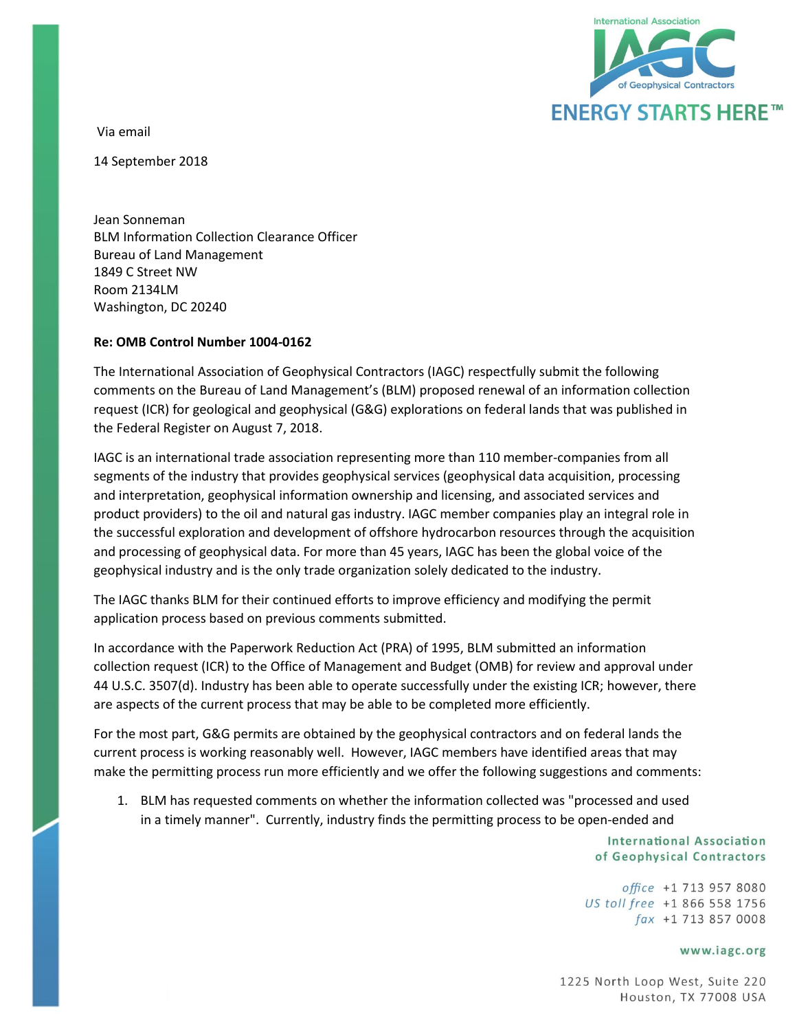

Via email

14 September 2018

Jean Sonneman BLM Information Collection Clearance Officer Bureau of Land Management 1849 C Street NW Room 2134LM Washington, DC 20240

## **Re: OMB Control Number 1004-0162**

The International Association of Geophysical Contractors (IAGC) respectfully submit the following comments on the Bureau of Land Management's (BLM) proposed renewal of an information collection request (ICR) for geological and geophysical (G&G) explorations on federal lands that was published in the Federal Register on August 7, 2018.

IAGC is an international trade association representing more than 110 member-companies from all segments of the industry that provides geophysical services (geophysical data acquisition, processing and interpretation, geophysical information ownership and licensing, and associated services and product providers) to the oil and natural gas industry. IAGC member companies play an integral role in the successful exploration and development of offshore hydrocarbon resources through the acquisition and processing of geophysical data. For more than 45 years, IAGC has been the global voice of the geophysical industry and is the only trade organization solely dedicated to the industry.

The IAGC thanks BLM for their continued efforts to improve efficiency and modifying the permit application process based on previous comments submitted.

In accordance with the Paperwork Reduction Act (PRA) of 1995, BLM submitted an information collection request (ICR) to the Office of Management and Budget (OMB) for review and approval under 44 U.S.C. 3507(d). Industry has been able to operate successfully under the existing ICR; however, there are aspects of the current process that may be able to be completed more efficiently.

For the most part, G&G permits are obtained by the geophysical contractors and on federal lands the current process is working reasonably well. However, IAGC members have identified areas that may make the permitting process run more efficiently and we offer the following suggestions and comments:

1. BLM has requested comments on whether the information collected was "processed and used in a timely manner". Currently, industry finds the permitting process to be open-ended and

> **International Association** of Geophysical Contractors

office +1 713 957 8080 US toll free +1 866 558 1756  $\int ax +1$  713 857 0008

## www.iagc.org

1225 North Loop West, Suite 220 Houston, TX 77008 USA